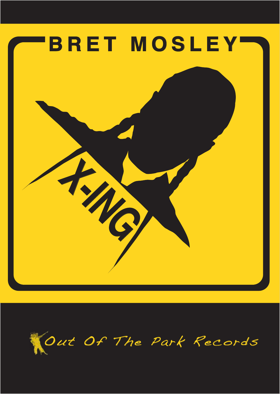

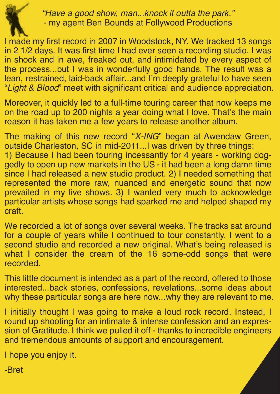*"Have a good show, man...knock it outta the park."* - my agent Ben Bounds at Follywood Productions

I made my first record in 2007 in Woodstock, NY. We tracked 13 songs in 2 1/2 days. It was first time I had ever seen a recording studio. I was in shock and in awe, freaked out, and intimidated by every aspect of the process...but I was in wonderfully good hands. The result was a lean, restrained, laid-back affair...and I'm deeply grateful to have seen "*Light & Blood*" meet with significant critical and audience appreciation.

Moreover, it quickly led to a full-time touring career that now keeps me on the road up to 200 nights a year doing what I love. That's the main reason it has taken me a few years to release another album.

The making of this new record "*X-ING*" began at Awendaw Green, outside Charleston, SC in mid-2011...I was driven by three things: 1) Because I had been touring incessantly for 4 years - working doggedly to open up new markets in the US - it had been a long damn time since I had released a new studio product. 2) I needed something that represented the more raw, nuanced and energetic sound that now prevailed in my live shows. 3) I wanted very much to acknowledge particular artists whose songs had sparked me and helped shaped my craft.

We recorded a lot of songs over several weeks. The tracks sat around for a couple of years while I continued to tour constantly. I went to a second studio and recorded a new original. What's being released is what I consider the cream of the 16 some-odd songs that were recorded.

This little document is intended as a part of the record, offered to those interested...back stories, confessions, revelations...some ideas about why these particular songs are here now...why they are relevant to me.

I initially thought I was going to make a loud rock record. Instead, I round up shooting for an intimate & intense confession and an expression of Gratitude. I think we pulled it off - thanks to incredible engineers and tremendous amounts of support and encouragement.

I hope you enjoy it.

-Bret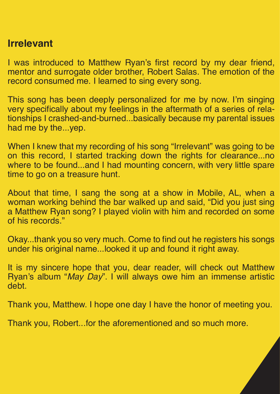# **Irrelevant**

I was introduced to Matthew Ryan's first record by my dear friend, mentor and surrogate older brother, Robert Salas. The emotion of the record consumed me. I learned to sing every song.

This song has been deeply personalized for me by now. I'm singing very specifically about my feelings in the aftermath of a series of relationships I crashed-and-burned...basically because my parental issues had me by the...yep.

When I knew that my recording of his song "Irrelevant" was going to be on this record, I started tracking down the rights for clearance...no where to be found...and I had mounting concern, with very little spare time to go on a treasure hunt.

About that time, I sang the song at a show in Mobile, AL, when a woman working behind the bar walked up and said, "Did you just sing a Matthew Ryan song? I played violin with him and recorded on some of his records."

Okay...thank you so very much. Come to find out he registers his songs under his original name...looked it up and found it right away.

It is my sincere hope that you, dear reader, will check out Matthew Ryan's album "*May Day*". I will always owe him an immense artistic debt.

Thank you, Matthew. I hope one day I have the honor of meeting you.

Thank you, Robert...for the aforementioned and so much more.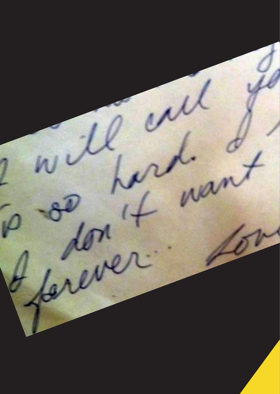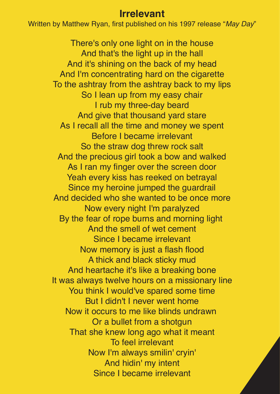### **Irrelevant**

Written by Matthew Ryan, first published on his 1997 release "*May Day*"

There's only one light on in the house And that's the light up in the hall And it's shining on the back of my head And I'm concentrating hard on the cigarette To the ashtray from the ashtray back to my lips So I lean up from my easy chair I rub my three-day beard And give that thousand yard stare As I recall all the time and money we spent Before I became irrelevant So the straw dog threw rock salt And the precious girl took a bow and walked As I ran my finger over the screen door Yeah every kiss has reeked on betrayal Since my heroine jumped the guardrail And decided who she wanted to be once more Now every night I'm paralyzed By the fear of rope burns and morning light And the smell of wet cement Since I became irrelevant Now memory is just a flash flood A thick and black sticky mud And heartache it's like a breaking bone It was always twelve hours on a missionary line You think I would've spared some time But I didn't I never went home Now it occurs to me like blinds undrawn Or a bullet from a shotgun That she knew long ago what it meant To feel irrelevant Now I'm always smilin' cryin' And hidin' my intent Since I became irrelevant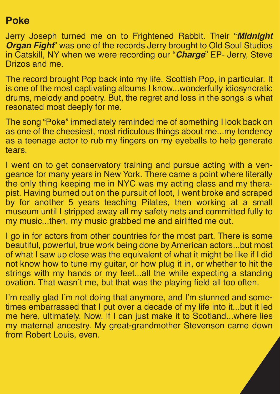# **Poke**

Jerry Joseph turned me on to Frightened Rabbit. Their "*Midnight Organ Fight*" was one of the records Jerry brought to Old Soul Studios in Catskill, NY when we were recording our "*Charge*" EP- Jerry, Steve Drizos and me.

The record brought Pop back into my life. Scottish Pop, in particular. It is one of the most captivating albums I know...wonderfully idiosyncratic drums, melody and poetry. But, the regret and loss in the songs is what resonated most deeply for me.

The song "Poke" immediately reminded me of something I look back on as one of the cheesiest, most ridiculous things about me...my tendency as a teenage actor to rub my fingers on my eyeballs to help generate tears.

I went on to get conservatory training and pursue acting with a vengeance for many years in New York. There came a point where literally the only thing keeping me in NYC was my acting class and my therapist. Having burned out on the pursuit of loot, I went broke and scraped by for another 5 years teaching Pilates, then working at a small museum until I stripped away all my safety nets and committed fully to my music...then, my music grabbed me and airlifted me out.

I go in for actors from other countries for the most part. There is some beautiful, powerful, true work being done by American actors...but most of what I saw up close was the equivalent of what it might be like if I did not know how to tune my guitar, or how plug it in, or whether to hit the strings with my hands or my feet...all the while expecting a standing ovation. That wasn't me, but that was the playing field all too often.

I'm really glad I'm not doing that anymore, and I'm stunned and sometimes embarrassed that I put over a decade of my life into it...but it led me here, ultimately. Now, if I can just make it to Scotland...where lies my maternal ancestry. My great-grandmother Stevenson came down from Robert Louis, even.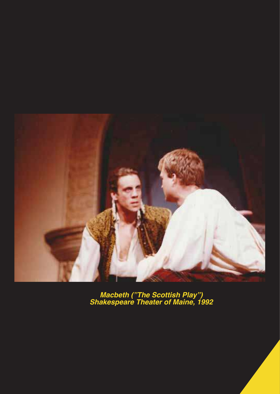

*Macbeth ("The Scottish Play") Shakespeare Theater of Maine, 1992*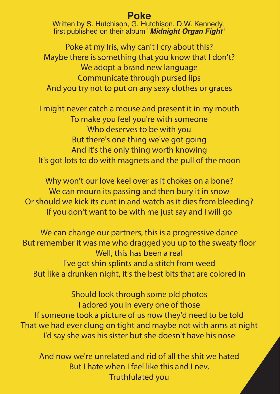#### **Poke**

Written by S. Hutchison, G. Hutchison, D.W. Kennedy, first published on their album "*Midnight Organ Fight*"

Poke at my Iris, why can't I cry about this? Maybe there is something that you know that I don't? We adopt a brand new language Communicate through pursed lips And you try not to put on any sexy clothes or graces

I might never catch a mouse and present it in my mouth To make you feel you're with someone Who deserves to be with you But there's one thing we've got going And it's the only thing worth knowing It's got lots to do with magnets and the pull of the moon

Why won't our love keel over as it chokes on a bone? We can mourn its passing and then bury it in snow Or should we kick its cunt in and watch as it dies from bleeding? If you don't want to be with me just say and I will go

We can change our partners, this is a progressive dance But remember it was me who dragged you up to the sweaty floor Well, this has been a real I've got shin splints and a stitch from weed But like a drunken night, it's the best bits that are colored in

Should look through some old photos I adored you in every one of those If someone took a picture of us now they'd need to be told That we had ever clung on tight and maybe not with arms at night I'd say she was his sister but she doesn't have his nose

And now we're unrelated and rid of all the shit we hated But I hate when I feel like this and I nev. Truthfulated you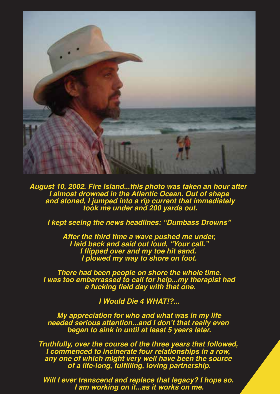

*August 10, 2002. Fire Island...this photo was taken an hour after I almost drowned in the Atlantic Ocean. Out of shape and stoned, I jumped into a rip current that immediately took me under and 200 yards out.*

*I kept seeing the news headlines: "Dumbass Drowns"*

*After the third time a wave pushed me under, I laid back and said out loud, "Your call." I flipped over and my toe hit sand. I plowed my way to shore on foot.*

*There had been people on shore the whole time. I was too embarrassed to call for help...my therapist had a fucking field day with that one.*

*I Would Die 4 WHAT!?...*

*My appreciation for who and what was in my life* **needed serious attention...and I don't that really even**  *began to sink in until at least 5 years later.*

*Truthfully, over the course of the three years that followed, I commenced to incinerate four relationships in a row, any one of which might very well have been the source of a life-long, fulfilling, loving partnership.*

*Will I ever transcend and replace that legacy? I hope so. I am working on it...as it works on me.*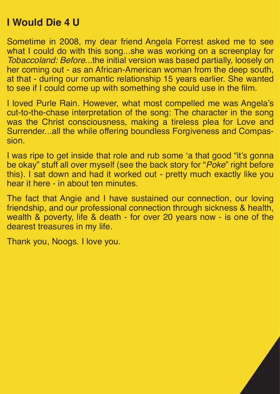# **I Would Die 4 U**

Sometime in 2008, my dear friend Angela Forrest asked me to see what I could do with this song...she was working on a screenplay for *Tobaccoland: Before*...the initial version was based partially, loosely on her coming out - as an African-American woman from the deep south, at that - during our romantic relationship 15 years earlier. She wanted to see if I could come up with something she could use in the film.

I loved Purle Rain. However, what most compelled me was Angela's cut-to-the-chase interpretation of the song: The character in the song was the Christ consciousness, making a tireless plea for Love and Surrender...all the while offering boundless Forgiveness and Compassion.

I was ripe to get inside that role and rub some 'a that good "it's gonna be okay" stuff all over myself (see the back story for "*Poke*" right before this). I sat down and had it worked out - pretty much exactly like you hear it here - in about ten minutes.

The fact that Angie and I have sustained our connection, our loving friendship, and our professional connection through sickness & health, wealth & poverty, life & death - for over 20 years now - is one of the dearest treasures in my life.

Thank you, Noogs. I love you.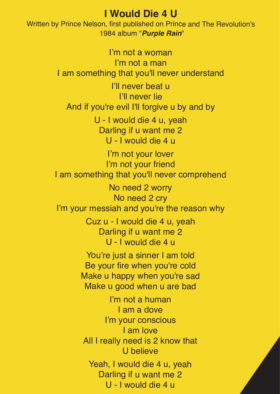## **I Would Die 4 U**

Written by Prince Nelson, first published on Prince and The Revolution's 1984 album "*Purple Rain*"

> I'm not a woman I'm not a man I am something that you'll never understand I'll never beat u I'll never lie And if you're evil I'll forgive u by and by U - I would die 4 u, yeah Darling if u want me 2 U - I would die 4 u I'm not your lover I'm not your friend I am something that you'll never comprehend No need 2 worry No need 2 cry I'm your messiah and you're the reason why Cuz u - I would die 4 u, yeah Darling if u want me 2 U - I would die 4 u You're just a sinner I am told Be your fire when you're cold Make u happy when you're sad Make u good when u are bad I'm not a human I am a dove I'm your conscious I am love All I really need is 2 know that U believe Yeah, I would die 4 u, yeah Darling if u want me 2 U - I would die 4 u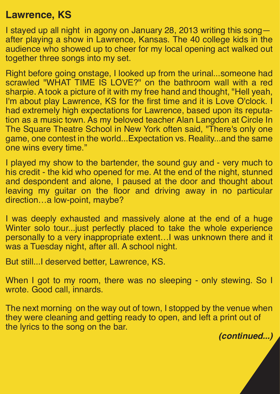## **Lawrence, KS**

I stayed up all night in agony on January 28, 2013 writing this song after playing a show in Lawrence, Kansas. The 40 college kids in the audience who showed up to cheer for my local opening act walked out together three songs into my set.

Right before going onstage, I looked up from the urinal...someone had scrawled "WHAT TIME IS LOVE?" on the bathroom wall with a red sharpie. A took a picture of it with my free hand and thought, "Hell yeah, I'm about play Lawrence, KS for the first time and it is Love O'clock. I had extremely high expectations for Lawrence, based upon its reputation as a music town. As my beloved teacher Alan Langdon at Circle In The Square Theatre School in New York often said, "There's only one game, one contest in the world...Expectation vs. Reality...and the same one wins every time."

I played my show to the bartender, the sound guy and - very much to his credit - the kid who opened for me. At the end of the night, stunned and despondent and alone, I paused at the door and thought about leaving my guitar on the floor and driving away in no particular direction…a low-point, maybe?

I was deeply exhausted and massively alone at the end of a huge Winter solo tour...just perfectly placed to take the whole experience personally to a very inappropriate extent…I was unknown there and it was a Tuesday night, after all. A school night.

But still...I deserved better, Lawrence, KS.

When I got to my room, there was no sleeping - only stewing. So I wrote. Good call, innards.

The next morning on the way out of town, I stopped by the venue when they were cleaning and getting ready to open, and left a print out of the lyrics to the song on the bar.

*(continued...)*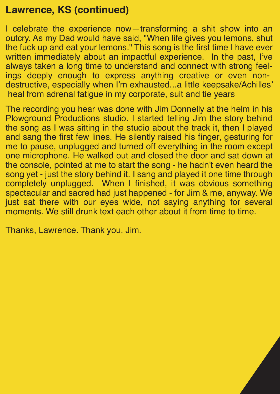# **Lawrence, KS (continued)**

I celebrate the experience now—transforming a shit show into an outcry. As my Dad would have said, "When life gives you lemons, shut the fuck up and eat your lemons." This song is the first time I have ever written immediately about an impactful experience. In the past, I've always taken a long time to understand and connect with strong feelings deeply enough to express anything creative or even nondestructive, especially when I'm exhausted...a little keepsake/Achilles' heal from adrenal fatigue in my corporate, suit and tie years

The recording you hear was done with Jim Donnelly at the helm in his Plowground Productions studio. I started telling Jim the story behind the song as I was sitting in the studio about the track it, then I played and sang the first few lines. He silently raised his finger, gesturing for me to pause, unplugged and turned off everything in the room except one microphone. He walked out and closed the door and sat down at the console, pointed at me to start the song - he hadn't even heard the song yet - just the story behind it. I sang and played it one time through completely unplugged. When I finished, it was obvious something spectacular and sacred had just happened - for Jim & me, anyway. We just sat there with our eyes wide, not saying anything for several moments. We still drunk text each other about it from time to time.

Thanks, Lawrence. Thank you, Jim.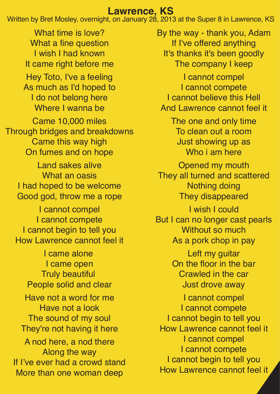### **Lawrence, KS**

Written by Bret Mosley, overnight, on January 28, 2013 at the Super 8 in Lawrence, KS

What time is love? What a fine question I wish I had known It came right before me

Hey Toto, I've a feeling As much as I'd hoped to I do not belong here Where I wanna be

Came 10,000 miles Through bridges and breakdowns Came this way high On fumes and on hope

Land sakes alive What an oasis I had hoped to be welcome Good god, throw me a rope

I cannot compel I cannot compete I cannot begin to tell you How Lawrence cannot feel it

I came alone I came open Truly beautiful People solid and clear Have not a word for me Have not a look The sound of my soul They're not having it here A nod here, a nod there Along the way If I've ever had a crowd stand More than one woman deep

By the way - thank you, Adam If I've offered anything It's thanks it's been goodly The company I keep

I cannot compel I cannot compete I cannot believe this Hell And Lawrence cannot feel it

The one and only time To clean out a room Just showing up as Who i am here

Opened my mouth They all turned and scattered Nothing doing They disappeared

I wish I could But I can no longer cast pearls Without so much As a pork chop in pay

> Left my guitar On the floor in the bar Crawled in the car Just drove away

I cannot compel I cannot compete I cannot begin to tell you How Lawrence cannot feel it I cannot compel I cannot compete I cannot begin to tell you How Lawrence cannot feel it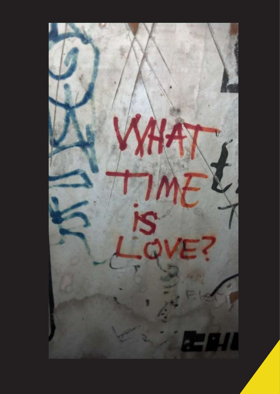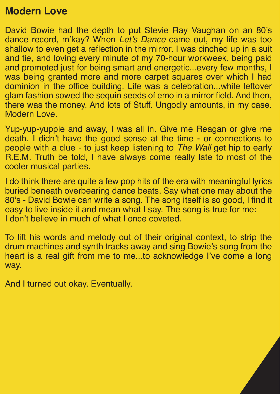## **Modern Love**

David Bowie had the depth to put Stevie Ray Vaughan on an 80's dance record, m'kay? When Let's Dance came out, my life was too shallow to even get a reflection in the mirror. I was cinched up in a suit and tie, and loving every minute of my 70-hour workweek, being paid and promoted just for being smart and energetic...every few months, I was being granted more and more carpet squares over which I had dominion in the office building. Life was a celebration...while leftover glam fashion sowed the sequin seeds of emo in a mirror field. And then, there was the money. And lots of Stuff. Ungodly amounts, in my case. Modern Love

Yup-yup-yuppie and away, I was all in. Give me Reagan or give me death. I didn't have the good sense at the time - or connections to people with a clue - to just keep listening to The Wall get hip to early R.E.M. Truth be told, I have always come really late to most of the cooler musical parties.

I do think there are quite a few pop hits of the era with meaningful lyrics buried beneath overbearing dance beats. Say what one may about the 80's - David Bowie can write a song. The song itself is so good, I find it easy to live inside it and mean what I say. The song is true for me: I don't believe in much of what I once coveted.

To lift his words and melody out of their original context, to strip the drum machines and synth tracks away and sing Bowie's song from the heart is a real gift from me to me...to acknowledge I've come a long way.

And I turned out okay. Eventually.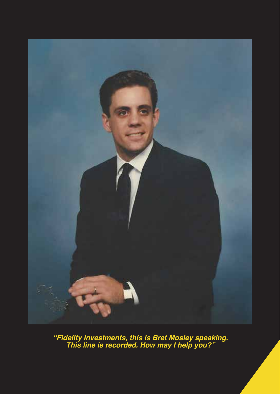

*"Fidelity Investments, this is Bret Mosley speaking. This line is recorded. How may I help you?"*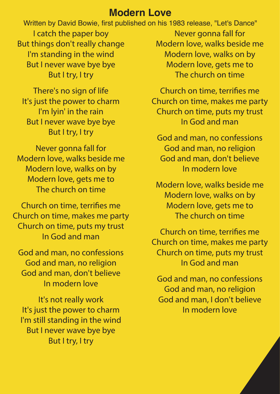### **Modern Love**

Never gonna fall for I catch the paper boy But things don't really change I'm standing in the wind But I never wave bye bye But I try, I try Written by David Bowie, first published on his 1983 release, "Let's Dance"

There's no sign of life It's just the power to charm I'm lyin' in the rain But I never wave bye bye But I try, I try

Never gonna fall for Modern love, walks beside me Modern love, walks on by Modern love, gets me to The church on time

Church on time, terrifies me Church on time, makes me party Church on time, puts my trust In God and man

God and man, no confessions God and man, no religion God and man, don't believe In modern love

It's not really work It's just the power to charm I'm still standing in the wind But I never wave bye bye But I try, I try

Modern love, walks beside me Modern love, walks on by Modern love, gets me to The church on time

Church on time, terrifies me Church on time, makes me party Church on time, puts my trust In God and man

God and man, no confessions God and man, no religion God and man, don't believe In modern love

Modern love, walks beside me Modern love, walks on by Modern love, gets me to The church on time

Church on time, terrifies me Church on time, makes me party Church on time, puts my trust In God and man

God and man, no confessions God and man, no religion God and man, I don't believe In modern love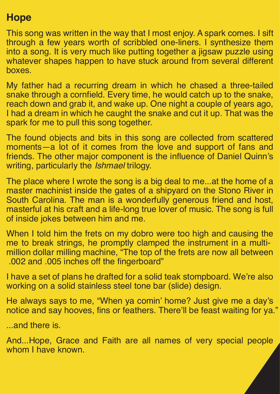# **Hope**

This song was written in the way that I most enjoy. A spark comes. I sift through a few years worth of scribbled one-liners. I synthesize them into a song. It is very much like putting together a jigsaw puzzle using whatever shapes happen to have stuck around from several different boxes.

My father had a recurring dream in which he chased a three-tailed snake through a cornfield. Every time, he would catch up to the snake, reach down and grab it, and wake up. One night a couple of years ago, I had a dream in which he caught the snake and cut it up. That was the spark for me to pull this song together.

The found objects and bits in this song are collected from scattered moments—a lot of it comes from the love and support of fans and friends. The other major component is the influence of Daniel Quinn's writing, particularly the *Ishmael* trilogy.

The place where I wrote the song is a big deal to me...at the home of a master machinist inside the gates of a shipyard on the Stono River in South Carolina. The man is a wonderfully generous friend and host, masterful at his craft and a life-long true lover of music. The song is full of inside jokes between him and me.

When I told him the frets on my dobro were too high and causing the me to break strings, he promptly clamped the instrument in a multimillion dollar milling machine, "The top of the frets are now all between .002 and .005 inches off the fingerboard"

I have a set of plans he drafted for a solid teak stompboard. We're also working on a solid stainless steel tone bar (slide) design.

He always says to me, "When ya comin' home? Just give me a day's notice and say hooves, fins or feathers. There'll be feast waiting for ya."

...and there is.

And...Hope, Grace and Faith are all names of very special people whom I have known.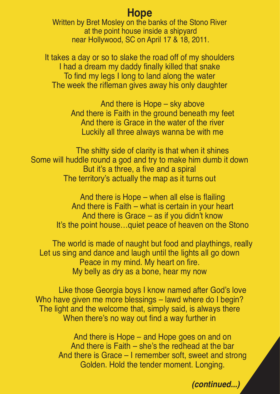## **Hope**

Written by Bret Mosley on the banks of the Stono River at the point house inside a shipyard near Hollywood, SC on April 17 & 18, 2011.

It takes a day or so to slake the road off of my shoulders I had a dream my daddy finally killed that snake To find my legs I long to land along the water The week the rifleman gives away his only daughter

> And there is Hope – sky above And there is Faith in the ground beneath my feet And there is Grace in the water of the river Luckily all three always wanna be with me

 The shitty side of clarity is that when it shines Some will huddle round a god and try to make him dumb it down But it's a three, a five and a spiral The territory's actually the map as it turns out

> And there is Hope – when all else is flailing And there is Faith – what is certain in your heart And there is Grace – as if you didn't know It's the point house…quiet peace of heaven on the Stono

 The world is made of naught but food and playthings, really Let us sing and dance and laugh until the lights all go down Peace in my mind. My heart on fire. My belly as dry as a bone, hear my now

 Like those Georgia boys I know named after God's love Who have given me more blessings – lawd where do I begin? The light and the welcome that, simply said, is always there When there's no way out find a way further in

> And there is Hope – and Hope goes on and on And there is Faith – she's the redhead at the bar And there is Grace – I remember soft, sweet and strong Golden. Hold the tender moment. Longing.

> > *(continued...)*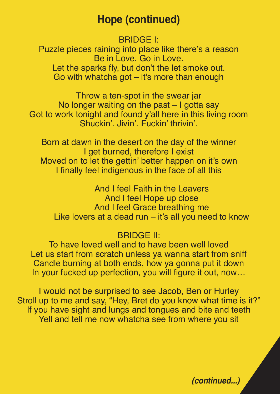# **Hope (continued)**

BRIDGE I: Puzzle pieces raining into place like there's a reason Be in Love. Go in Love. Let the sparks fly, but don't the let smoke out. Go with whatcha got – it's more than enough

Throw a ten-spot in the swear jar No longer waiting on the past – I gotta say Got to work tonight and found y'all here in this living room Shuckin'. Jivin'. Fuckin' thrivin'.

Born at dawn in the desert on the day of the winner I get burned, therefore I exist Moved on to let the gettin' better happen on it's own I finally feel indigenous in the face of all this

 And I feel Faith in the Leavers And I feel Hope up close And I feel Grace breathing me Like lovers at a dead run  $-$  it's all you need to know

#### BRIDGE II:

To have loved well and to have been well loved Let us start from scratch unless ya wanna start from sniff Candle burning at both ends, how ya gonna put it down In your fucked up perfection, you will figure it out, now…

I would not be surprised to see Jacob, Ben or Hurley Stroll up to me and say, "Hey, Bret do you know what time is it?" If you have sight and lungs and tongues and bite and teeth Yell and tell me now whatcha see from where you sit

*(continued...)*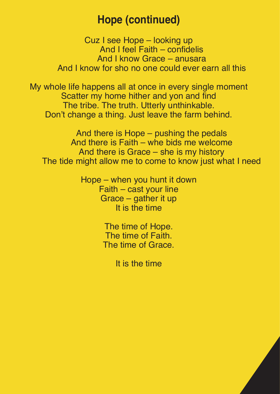# **Hope (continued)**

Cuz I see Hope – looking up And I feel Faith – confidelis And I know Grace – anusara And I know for sho no one could ever earn all this

My whole life happens all at once in every single moment Scatter my home hither and yon and find The tribe. The truth. Utterly unthinkable. Don't change a thing. Just leave the farm behind.

 And there is Hope – pushing the pedals And there is Faith – whe bids me welcome And there is Grace – she is my history The tide might allow me to come to know just what I need

> Hope – when you hunt it down Faith – cast your line Grace – gather it up It is the time

> > The time of Hope. The time of Faith. The time of Grace.

> > > It is the time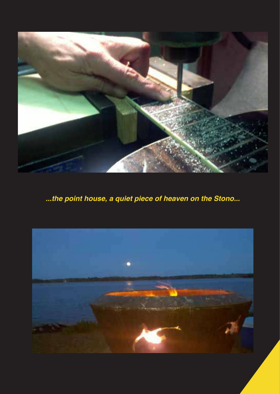

*...the point house, a quiet piece of heaven on the Stono...*

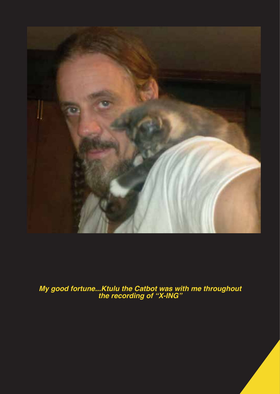

*My good fortune...Ktulu the Catbot was with me throughout the recording of "X-ING"*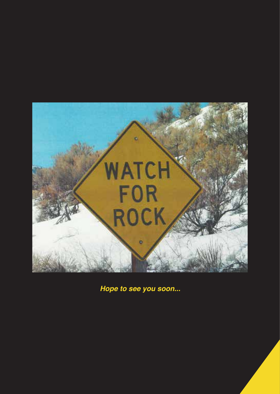

*Hope to see you soon...*